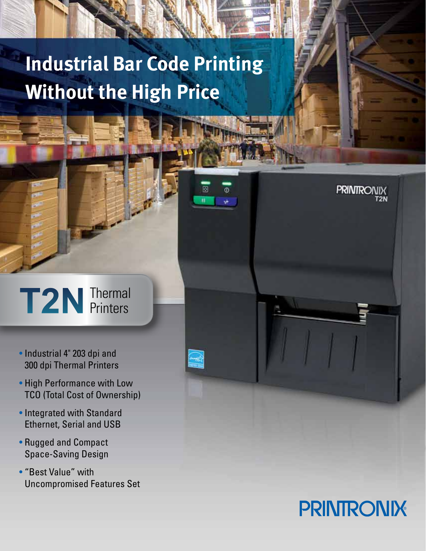# **Industrial Bar Code Printing Without the High Price**

回

 $\omega$ 

## T2N Thermal Printers

- Industrial 4" 203 dpi and 300 dpi Thermal Printers
- High Performance with Low TCO (Total Cost of Ownership)
- Integrated with Standard Ethernet, Serial and USB
- Rugged and Compact Space-Saving Design
- "Best Value" with Uncompromised Features Set



**PRINTRONIX**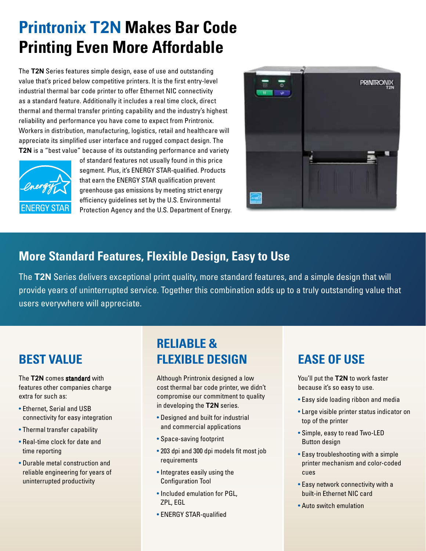# **Printronix T2N Makes Bar Code Printing Even More Affordable**

The **T2N** Series features simple design, ease of use and outstanding value that's priced below competitive printers. It is the first entry-level industrial thermal bar code printer to offer Ethernet NIC connectivity as a standard feature. Additionally it includes a real time clock, direct thermal and thermal transfer printing capability and the industry's highest reliability and performance you have come to expect from Printronix. Workers in distribution, manufacturing, logistics, retail and healthcare will appreciate its simplified user interface and rugged compact design. The **T2N** is a "best value" because of its outstanding performance and variety



of standard features not usually found in this price segment. Plus, it's ENERGY STAR-qualified. Products that earn the ENERGY STAR qualification prevent greenhouse gas emissions by meeting strict energy efficiency guidelines set by the U.S. Environmental Protection Agency and the U.S. Department of Energy.



### **More Standard Features, Flexible Design, Easy to Use**

The **T2N** Series delivers exceptional print quality, more standard features, and a simple design that will provide years of uninterrupted service. Together this combination adds up to a truly outstanding value that users everywhere will appreciate.

The **T2N** comes standard with features other companies charge extra for such as:

- Ethernet, Serial and USB connectivity for easy integration
- Thermal transfer capability
- Real-time clock for date and time reporting
- Durable metal construction and reliable engineering for years of uninterrupted productivity

## **BEST VALUE** FLEXIBLE DESIGN EASE OF USE **Reliable &**

Although Printronix designed a low cost thermal bar code printer, we didn't compromise our commitment to quality in developing the **T2N** series.

- Designed and built for industrial and commercial applications
- Space-saving footprint
- 203 dpi and 300 dpi models fit most job requirements
- Integrates easily using the Configuration Tool
- Included emulation for PGL, ZPL, EGL
- ENERGY STAR-qualified

You'll put the **T2N** to work faster because it's so easy to use.

- Easy side loading ribbon and media
- Large visible printer status indicator on top of the printer
- Simple, easy to read Two-LED Button design
- Easy troubleshooting with a simple printer mechanism and color-coded cues
- Easy network connectivity with a built-in Ethernet NIC card
- Auto switch emulation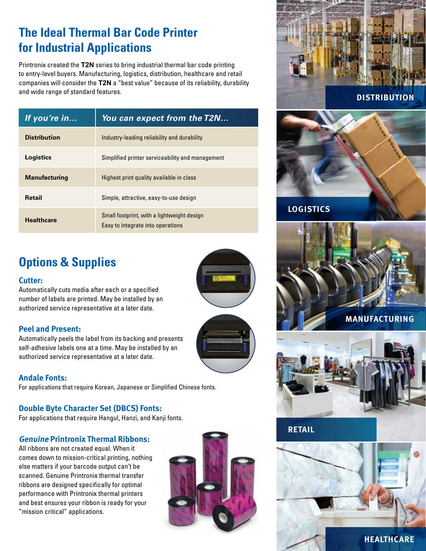## **The Ideal Thermal Bar Code Printer for Industrial Applications**

Printronix created the **T2N** series to bring industrial thermal bar code printing to entry-level buyers. Manufacturing, logistics, distribution, healthcare and retail companies will consider the **T2N** a "best value" because of its reliability, durability and wide range of standard features.

| If you're in         | You can expect from the T2N                                                     |
|----------------------|---------------------------------------------------------------------------------|
| <b>Distribution</b>  | Industry-leading reliability and durability                                     |
| Logistics            | Simplified printer serviceability and management                                |
| <b>Manufacturing</b> | Highest print quality available in class                                        |
| <b>Retail</b>        | Simple, attractive, easy-to-use design                                          |
| <b>Healthcare</b>    | Small footprint, with a lightweight design<br>Easy to integrate into operations |

## **Options & Supplies**

#### **Cutter:**

Automatically cuts media after each or a specified number of labels are printed. May be installed by an authorized service representative at a later date.

### **Peel and Present:**

Automatically peels the label from its backing and presents self-adhesive labels one at a time. May be installed by an authorized service representative at a later date.



#### **Andale Fonts:**

For applications that require Korean, Japanese or Simplified Chinese fonts.

#### **Double Byte Character Set (DBCS) Fonts:**

For applications that require Hangul, Hanzi, and Kanji fonts.

#### **Genuine Printronix Thermal Ribbons:**

All ribbons are not created equal. When it comes down to mission-critical printing, nothing else matters if your barcode output can't be scanned. Genuine Printronix thermal transfer ribbons are designed specifically for optimal performance with Printronix thermal printers and best ensures your ribbon is ready for your "mission critical" applications.





**LOGISTICS**





### **RETAIL**